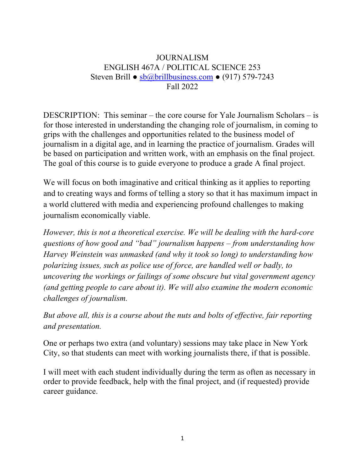## JOURNALISM ENGLISH 467A / POLITICAL SCIENCE 253 Steven Brill ● sb@brillbusiness.com ● (917) 579-7243 Fall 2022

DESCRIPTION: This seminar – the core course for Yale Journalism Scholars – is for those interested in understanding the changing role of journalism, in coming to grips with the challenges and opportunities related to the business model of journalism in a digital age, and in learning the practice of journalism. Grades will be based on participation and written work, with an emphasis on the final project. The goal of this course is to guide everyone to produce a grade A final project.

We will focus on both imaginative and critical thinking as it applies to reporting and to creating ways and forms of telling a story so that it has maximum impact in a world cluttered with media and experiencing profound challenges to making journalism economically viable.

*However, this is not a theoretical exercise. We will be dealing with the hard-core questions of how good and "bad" journalism happens – from understanding how Harvey Weinstein was unmasked (and why it took so long) to understanding how polarizing issues, such as police use of force, are handled well or badly, to uncovering the workings or failings of some obscure but vital government agency (and getting people to care about it). We will also examine the modern economic challenges of journalism.* 

*But above all, this is a course about the nuts and bolts of effective, fair reporting and presentation.*

One or perhaps two extra (and voluntary) sessions may take place in New York City, so that students can meet with working journalists there, if that is possible.

I will meet with each student individually during the term as often as necessary in order to provide feedback, help with the final project, and (if requested) provide career guidance.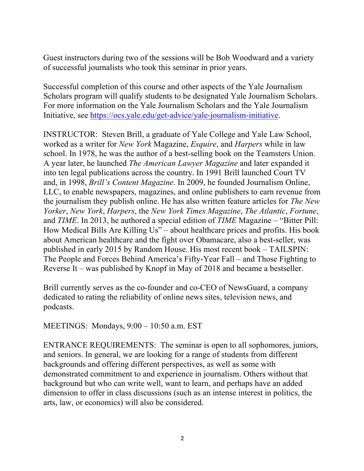Guest instructors during two of the sessions will be Bob Woodward and a variety of successful journalists who took this seminar in prior years.

Successful completion of this course and other aspects of the Yale Journalism Scholars program will qualify students to be designated Yale Journalism Scholars. For more information on the Yale Journalism Scholars and the Yale Journalism Initiative, see https://ocs.yale.edu/get-advice/yale-journalism-initiative.

INSTRUCTOR: Steven Brill, a graduate of Yale College and Yale Law School, worked as a writer for *New York* Magazine, *Esquire*, and *Harpers* while in law school. In 1978, he was the author of a best-selling book on the Teamsters Union. A year later, he launched *The American Lawyer Magazine* and later expanded it into ten legal publications across the country. In 1991 Brill launched Court TV and, in 1998, *Brill's Content Magazine*. In 2009, he founded Journalism Online, LLC, to enable newspapers, magazines, and online publishers to earn revenue from the journalism they publish online. He has also written feature articles for *The New Yorker*, *New York*, *Harpers*, the *New York Times Magazine*, *The Atlantic*, *Fortune*, and *TIME*. In 2013, he authored a special edition of *TIME* Magazine – "Bitter Pill: How Medical Bills Are Killing Us" – about healthcare prices and profits. His book about American healthcare and the fight over Obamacare, also a best-seller, was published in early 2015 by Random House. His most recent book – TAILSPIN: The People and Forces Behind America's Fifty-Year Fall – and Those Fighting to Reverse It – was published by Knopf in May of 2018 and became a bestseller.

Brill currently serves as the co-founder and co-CEO of NewsGuard, a company dedicated to rating the reliability of online news sites, television news, and podcasts.

MEETINGS: Mondays, 9:00 – 10:50 a.m. EST

ENTRANCE REQUIREMENTS: The seminar is open to all sophomores, juniors, and seniors. In general, we are looking for a range of students from different backgrounds and offering different perspectives, as well as some with demonstrated commitment to and experience in journalism. Others without that background but who can write well, want to learn, and perhaps have an added dimension to offer in class discussions (such as an intense interest in politics, the arts, law, or economics) will also be considered.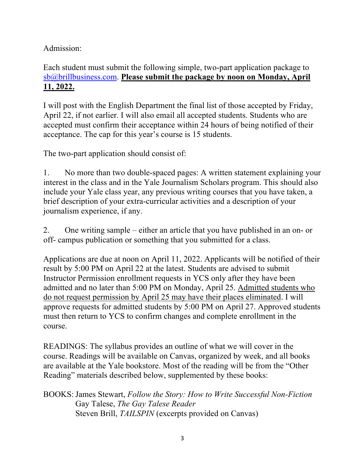## Admission:

## Each student must submit the following simple, two-part application package to sb@brillbusiness.com. **Please submit the package by noon on Monday, April 11, 2022.**

I will post with the English Department the final list of those accepted by Friday, April 22, if not earlier. I will also email all accepted students. Students who are accepted must confirm their acceptance within 24 hours of being notified of their acceptance. The cap for this year's course is 15 students.

The two-part application should consist of:

1. No more than two double-spaced pages: A written statement explaining your interest in the class and in the Yale Journalism Scholars program. This should also include your Yale class year, any previous writing courses that you have taken, a brief description of your extra-curricular activities and a description of your journalism experience, if any.

2. One writing sample – either an article that you have published in an on- or off- campus publication or something that you submitted for a class.

Applications are due at noon on April 11, 2022. Applicants will be notified of their result by 5:00 PM on April 22 at the latest. Students are advised to submit Instructor Permission enrollment requests in YCS only after they have been admitted and no later than 5:00 PM on Monday, April 25. Admitted students who do not request permission by April 25 may have their places eliminated. I will approve requests for admitted students by 5:00 PM on April 27. Approved students must then return to YCS to confirm changes and complete enrollment in the course.

READINGS: The syllabus provides an outline of what we will cover in the course. Readings will be available on Canvas, organized by week, and all books are available at the Yale bookstore. Most of the reading will be from the "Other Reading" materials described below, supplemented by these books:

BOOKS: James Stewart, *Follow the Story: How to Write Successful Non-Fiction* Gay Talese, *The Gay Talese Reader* Steven Brill, *TAILSPIN* (excerpts provided on Canvas)